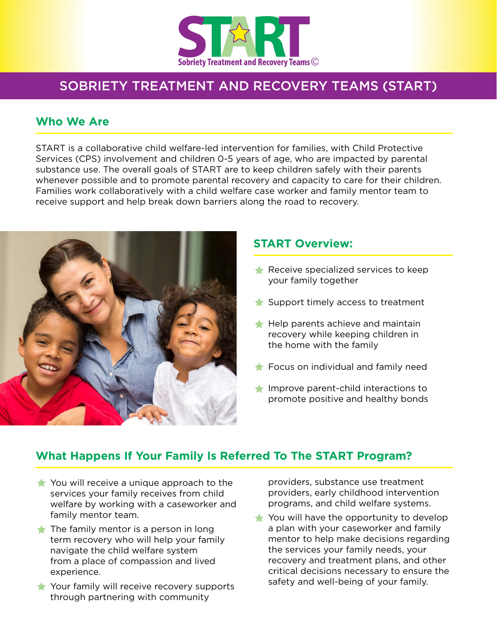

# SOBRIETY TREATMENT AND RECOVERY TEAMS (START)

### **Who We Are**

START is a collaborative child welfare-led intervention for families, with Child Protective Services (CPS) involvement and children 0-5 years of age, who are impacted by parental substance use. The overall goals of START are to keep children safely with their parents whenever possible and to promote parental recovery and capacity to care for their children. Families work collaboratively with a child welfare case worker and family mentor team to receive support and help break down barriers along the road to recovery.



#### **START Overview:**

- $\triangle$  Receive specialized services to keep your family together
- $\bigstar$  Support timely access to treatment
- $\bigstar$  Help parents achieve and maintain recovery while keeping children in the home with the family
- $\triangle$  Focus on individual and family need
- $\blacksquare$  Improve parent-child interactions to promote positive and healthy bonds

## **What Happens If Your Family Is Referred To The START Program?**

- $\triangle$  You will receive a unique approach to the services your family receives from child welfare by working with a caseworker and family mentor team.
- $\triangle$  The family mentor is a person in long term recovery who will help your family navigate the child welfare system from a place of compassion and lived experience.
- $\bullet$  Your family will receive recovery supports through partnering with community

providers, substance use treatment providers, early childhood intervention programs, and child welfare systems.

 $\bigstar$  You will have the opportunity to develop a plan with your caseworker and family mentor to help make decisions regarding the services your family needs, your recovery and treatment plans, and other critical decisions necessary to ensure the safety and well-being of your family.